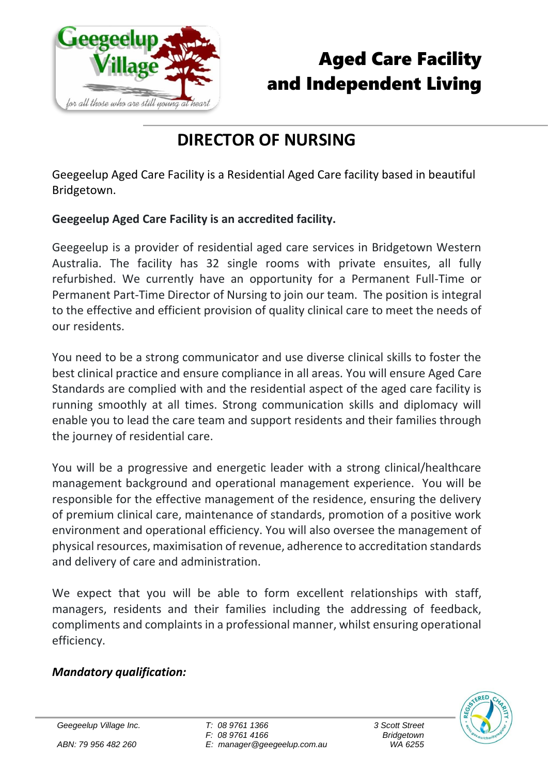

# Aged Care Facility and Independent Living

## **DIRECTOR OF NURSING**

Geegeelup Aged Care Facility is a Residential Aged Care facility based in beautiful Bridgetown.

### **Geegeelup Aged Care Facility is an accredited facility.**

Geegeelup is a provider of residential aged care services in Bridgetown Western Australia. The facility has 32 single rooms with private ensuites, all fully refurbished. We currently have an opportunity for a Permanent Full-Time or Permanent Part-Time Director of Nursing to join our team. The position is integral to the effective and efficient provision of quality clinical care to meet the needs of our residents.

You need to be a strong communicator and use diverse clinical skills to foster the best clinical practice and ensure compliance in all areas. You will ensure Aged Care Standards are complied with and the residential aspect of the aged care facility is running smoothly at all times. Strong communication skills and diplomacy will enable you to lead the care team and support residents and their families through the journey of residential care.

You will be a progressive and energetic leader with a strong clinical/healthcare management background and operational management experience. You will be responsible for the effective management of the residence, ensuring the delivery of premium clinical care, maintenance of standards, promotion of a positive work environment and operational efficiency. You will also oversee the management of physical resources, maximisation of revenue, adherence to accreditation standards and delivery of care and administration.

We expect that you will be able to form excellent relationships with staff, managers, residents and their families including the addressing of feedback, compliments and complaints in a professional manner, whilst ensuring operational efficiency.

### *Mandatory qualification:*



*Geegeelup Village Inc.*